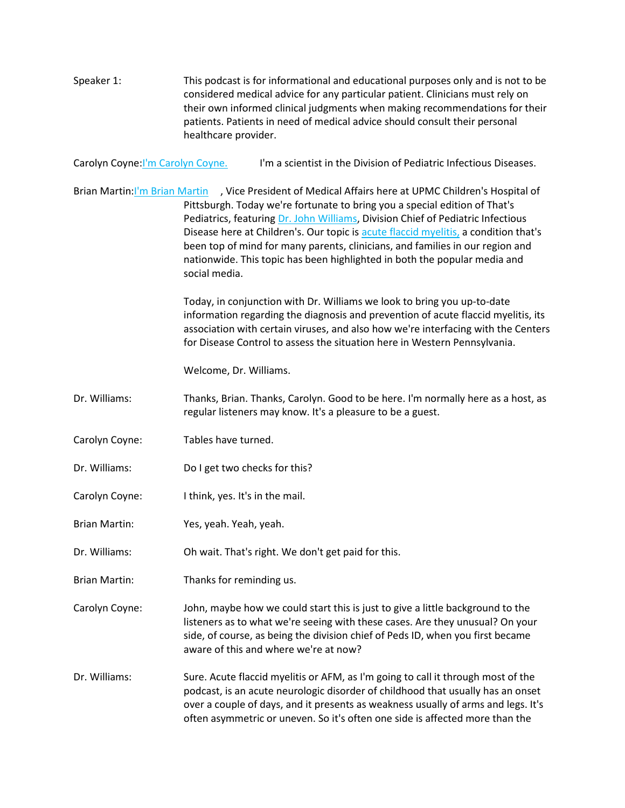Speaker 1: This podcast is for informational and educational purposes only and is not to be considered medical advice for any particular patient. Clinicians must rely on their own informed clinical judgments when making recommendations for their patients. Patients in need of medical advice should consult their personal healthcare provider.

Carolyn Coyne: I'm Carolyn Coyne. I'm a scientist in the Division of Pediatric Infectious Diseases.

Brian Martin[:I'm Brian Martin](http://www.chp.edu/find-a-doctor/service-providers/brian-martin-7954) , Vice President of Medical Affairs here at UPMC Children's Hospital of Pittsburgh. Today we're fortunate to bring you a special edition of That's Pediatrics, featuring [Dr. John Williams,](http://www.chp.edu/find-a-doctor/service-providers/john-williams-206878) Division Chief of Pediatric Infectious Disease here at Children's. Our topic is [acute flaccid myelitis,](https://share.upmc.com/2018/10/what-is-acute-flaccid-myelitis/) a condition that's been top of mind for many parents, clinicians, and families in our region and nationwide. This topic has been highlighted in both the popular media and social media.

> Today, in conjunction with Dr. Williams we look to bring you up-to-date information regarding the diagnosis and prevention of acute flaccid myelitis, its association with certain viruses, and also how we're interfacing with the Centers for Disease Control to assess the situation here in Western Pennsylvania.

Welcome, Dr. Williams.

Dr. Williams: Thanks, Brian. Thanks, Carolyn. Good to be here. I'm normally here as a host, as regular listeners may know. It's a pleasure to be a guest.

- Carolyn Coyne: Tables have turned.
- Dr. Williams: Do I get two checks for this?
- Carolyn Coyne: I think, yes. It's in the mail.
- Brian Martin: Yes, yeah. Yeah, yeah.
- Dr. Williams: Oh wait. That's right. We don't get paid for this.
- Brian Martin: Thanks for reminding us.

Carolyn Coyne: John, maybe how we could start this is just to give a little background to the listeners as to what we're seeing with these cases. Are they unusual? On your side, of course, as being the division chief of Peds ID, when you first became aware of this and where we're at now?

Dr. Williams: Sure. Acute flaccid myelitis or AFM, as I'm going to call it through most of the podcast, is an acute neurologic disorder of childhood that usually has an onset over a couple of days, and it presents as weakness usually of arms and legs. It's often asymmetric or uneven. So it's often one side is affected more than the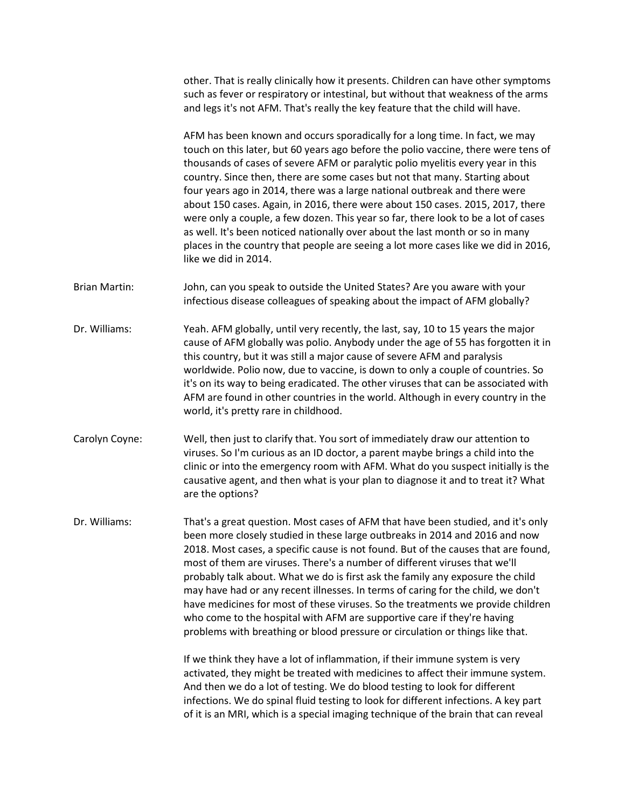other. That is really clinically how it presents. Children can have other symptoms such as fever or respiratory or intestinal, but without that weakness of the arms and legs it's not AFM. That's really the key feature that the child will have.

AFM has been known and occurs sporadically for a long time. In fact, we may touch on this later, but 60 years ago before the polio vaccine, there were tens of thousands of cases of severe AFM or paralytic polio myelitis every year in this country. Since then, there are some cases but not that many. Starting about four years ago in 2014, there was a large national outbreak and there were about 150 cases. Again, in 2016, there were about 150 cases. 2015, 2017, there were only a couple, a few dozen. This year so far, there look to be a lot of cases as well. It's been noticed nationally over about the last month or so in many places in the country that people are seeing a lot more cases like we did in 2016, like we did in 2014.

- Brian Martin: John, can you speak to outside the United States? Are you aware with your infectious disease colleagues of speaking about the impact of AFM globally?
- Dr. Williams: Yeah. AFM globally, until very recently, the last, say, 10 to 15 years the major cause of AFM globally was polio. Anybody under the age of 55 has forgotten it in this country, but it was still a major cause of severe AFM and paralysis worldwide. Polio now, due to vaccine, is down to only a couple of countries. So it's on its way to being eradicated. The other viruses that can be associated with AFM are found in other countries in the world. Although in every country in the world, it's pretty rare in childhood.
- Carolyn Coyne: Well, then just to clarify that. You sort of immediately draw our attention to viruses. So I'm curious as an ID doctor, a parent maybe brings a child into the clinic or into the emergency room with AFM. What do you suspect initially is the causative agent, and then what is your plan to diagnose it and to treat it? What are the options?

Dr. Williams: That's a great question. Most cases of AFM that have been studied, and it's only been more closely studied in these large outbreaks in 2014 and 2016 and now 2018. Most cases, a specific cause is not found. But of the causes that are found, most of them are viruses. There's a number of different viruses that we'll probably talk about. What we do is first ask the family any exposure the child may have had or any recent illnesses. In terms of caring for the child, we don't have medicines for most of these viruses. So the treatments we provide children who come to the hospital with AFM are supportive care if they're having problems with breathing or blood pressure or circulation or things like that.

> If we think they have a lot of inflammation, if their immune system is very activated, they might be treated with medicines to affect their immune system. And then we do a lot of testing. We do blood testing to look for different infections. We do spinal fluid testing to look for different infections. A key part of it is an MRI, which is a special imaging technique of the brain that can reveal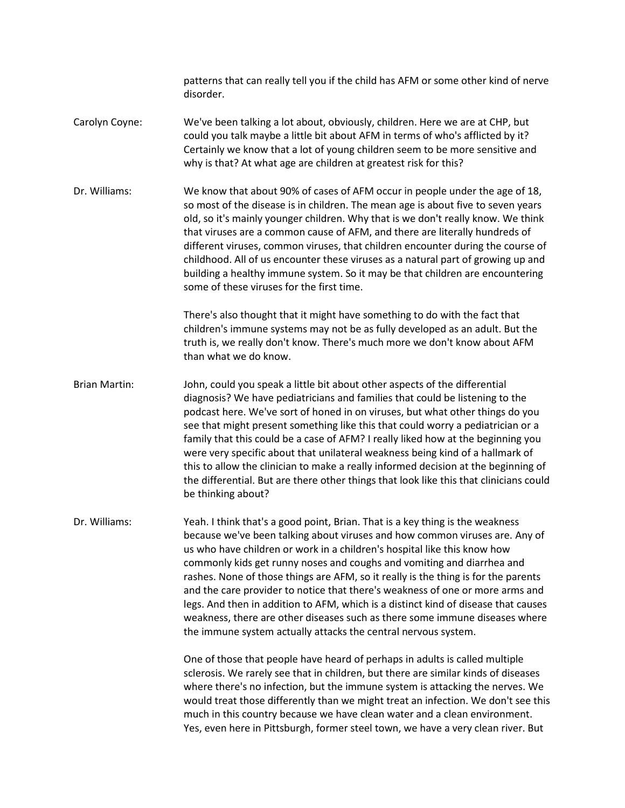patterns that can really tell you if the child has AFM or some other kind of nerve disorder.

- Carolyn Coyne: We've been talking a lot about, obviously, children. Here we are at CHP, but could you talk maybe a little bit about AFM in terms of who's afflicted by it? Certainly we know that a lot of young children seem to be more sensitive and why is that? At what age are children at greatest risk for this?
- Dr. Williams: We know that about 90% of cases of AFM occur in people under the age of 18, so most of the disease is in children. The mean age is about five to seven years old, so it's mainly younger children. Why that is we don't really know. We think that viruses are a common cause of AFM, and there are literally hundreds of different viruses, common viruses, that children encounter during the course of childhood. All of us encounter these viruses as a natural part of growing up and building a healthy immune system. So it may be that children are encountering some of these viruses for the first time.

There's also thought that it might have something to do with the fact that children's immune systems may not be as fully developed as an adult. But the truth is, we really don't know. There's much more we don't know about AFM than what we do know.

Brian Martin: John, could you speak a little bit about other aspects of the differential diagnosis? We have pediatricians and families that could be listening to the podcast here. We've sort of honed in on viruses, but what other things do you see that might present something like this that could worry a pediatrician or a family that this could be a case of AFM? I really liked how at the beginning you were very specific about that unilateral weakness being kind of a hallmark of this to allow the clinician to make a really informed decision at the beginning of the differential. But are there other things that look like this that clinicians could be thinking about?

Dr. Williams: Yeah. I think that's a good point, Brian. That is a key thing is the weakness because we've been talking about viruses and how common viruses are. Any of us who have children or work in a children's hospital like this know how commonly kids get runny noses and coughs and vomiting and diarrhea and rashes. None of those things are AFM, so it really is the thing is for the parents and the care provider to notice that there's weakness of one or more arms and legs. And then in addition to AFM, which is a distinct kind of disease that causes weakness, there are other diseases such as there some immune diseases where the immune system actually attacks the central nervous system.

> One of those that people have heard of perhaps in adults is called multiple sclerosis. We rarely see that in children, but there are similar kinds of diseases where there's no infection, but the immune system is attacking the nerves. We would treat those differently than we might treat an infection. We don't see this much in this country because we have clean water and a clean environment. Yes, even here in Pittsburgh, former steel town, we have a very clean river. But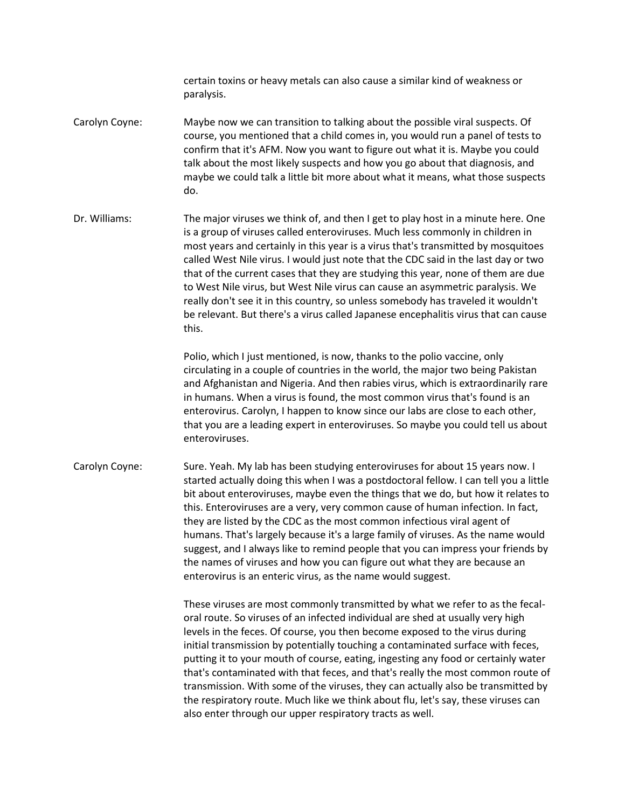certain toxins or heavy metals can also cause a similar kind of weakness or paralysis.

- Carolyn Coyne: Maybe now we can transition to talking about the possible viral suspects. Of course, you mentioned that a child comes in, you would run a panel of tests to confirm that it's AFM. Now you want to figure out what it is. Maybe you could talk about the most likely suspects and how you go about that diagnosis, and maybe we could talk a little bit more about what it means, what those suspects do.
- Dr. Williams: The major viruses we think of, and then I get to play host in a minute here. One is a group of viruses called enteroviruses. Much less commonly in children in most years and certainly in this year is a virus that's transmitted by mosquitoes called West Nile virus. I would just note that the CDC said in the last day or two that of the current cases that they are studying this year, none of them are due to West Nile virus, but West Nile virus can cause an asymmetric paralysis. We really don't see it in this country, so unless somebody has traveled it wouldn't be relevant. But there's a virus called Japanese encephalitis virus that can cause this.

Polio, which I just mentioned, is now, thanks to the polio vaccine, only circulating in a couple of countries in the world, the major two being Pakistan and Afghanistan and Nigeria. And then rabies virus, which is extraordinarily rare in humans. When a virus is found, the most common virus that's found is an enterovirus. Carolyn, I happen to know since our labs are close to each other, that you are a leading expert in enteroviruses. So maybe you could tell us about enteroviruses.

Carolyn Coyne: Sure. Yeah. My lab has been studying enteroviruses for about 15 years now. I started actually doing this when I was a postdoctoral fellow. I can tell you a little bit about enteroviruses, maybe even the things that we do, but how it relates to this. Enteroviruses are a very, very common cause of human infection. In fact, they are listed by the CDC as the most common infectious viral agent of humans. That's largely because it's a large family of viruses. As the name would suggest, and I always like to remind people that you can impress your friends by the names of viruses and how you can figure out what they are because an enterovirus is an enteric virus, as the name would suggest.

> These viruses are most commonly transmitted by what we refer to as the fecaloral route. So viruses of an infected individual are shed at usually very high levels in the feces. Of course, you then become exposed to the virus during initial transmission by potentially touching a contaminated surface with feces, putting it to your mouth of course, eating, ingesting any food or certainly water that's contaminated with that feces, and that's really the most common route of transmission. With some of the viruses, they can actually also be transmitted by the respiratory route. Much like we think about flu, let's say, these viruses can also enter through our upper respiratory tracts as well.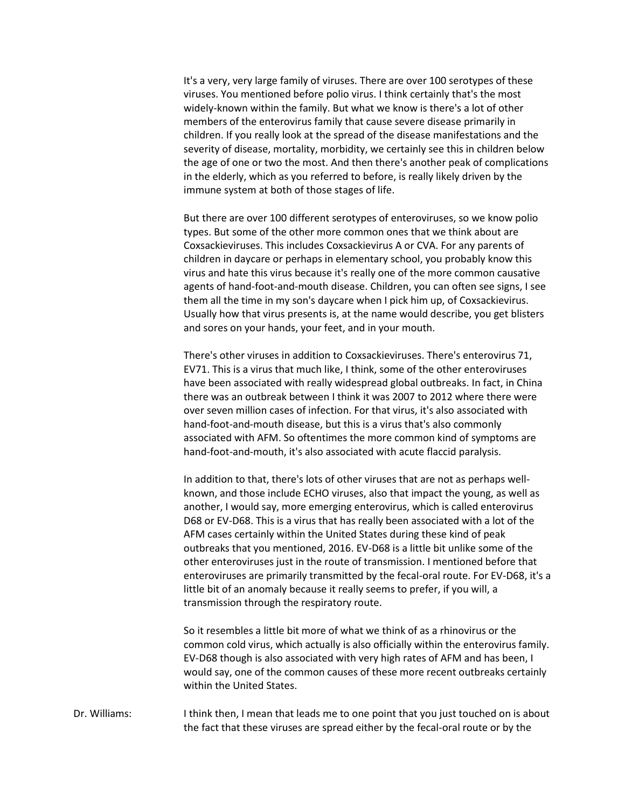It's a very, very large family of viruses. There are over 100 serotypes of these viruses. You mentioned before polio virus. I think certainly that's the most widely-known within the family. But what we know is there's a lot of other members of the enterovirus family that cause severe disease primarily in children. If you really look at the spread of the disease manifestations and the severity of disease, mortality, morbidity, we certainly see this in children below the age of one or two the most. And then there's another peak of complications in the elderly, which as you referred to before, is really likely driven by the immune system at both of those stages of life.

But there are over 100 different serotypes of enteroviruses, so we know polio types. But some of the other more common ones that we think about are Coxsackieviruses. This includes Coxsackievirus A or CVA. For any parents of children in daycare or perhaps in elementary school, you probably know this virus and hate this virus because it's really one of the more common causative agents of hand-foot-and-mouth disease. Children, you can often see signs, I see them all the time in my son's daycare when I pick him up, of Coxsackievirus. Usually how that virus presents is, at the name would describe, you get blisters and sores on your hands, your feet, and in your mouth.

There's other viruses in addition to Coxsackieviruses. There's enterovirus 71, EV71. This is a virus that much like, I think, some of the other enteroviruses have been associated with really widespread global outbreaks. In fact, in China there was an outbreak between I think it was 2007 to 2012 where there were over seven million cases of infection. For that virus, it's also associated with hand-foot-and-mouth disease, but this is a virus that's also commonly associated with AFM. So oftentimes the more common kind of symptoms are hand-foot-and-mouth, it's also associated with acute flaccid paralysis.

In addition to that, there's lots of other viruses that are not as perhaps wellknown, and those include ECHO viruses, also that impact the young, as well as another, I would say, more emerging enterovirus, which is called enterovirus D68 or EV-D68. This is a virus that has really been associated with a lot of the AFM cases certainly within the United States during these kind of peak outbreaks that you mentioned, 2016. EV-D68 is a little bit unlike some of the other enteroviruses just in the route of transmission. I mentioned before that enteroviruses are primarily transmitted by the fecal-oral route. For EV-D68, it's a little bit of an anomaly because it really seems to prefer, if you will, a transmission through the respiratory route.

So it resembles a little bit more of what we think of as a rhinovirus or the common cold virus, which actually is also officially within the enterovirus family. EV-D68 though is also associated with very high rates of AFM and has been, I would say, one of the common causes of these more recent outbreaks certainly within the United States.

Dr. Williams: I think then, I mean that leads me to one point that you just touched on is about the fact that these viruses are spread either by the fecal-oral route or by the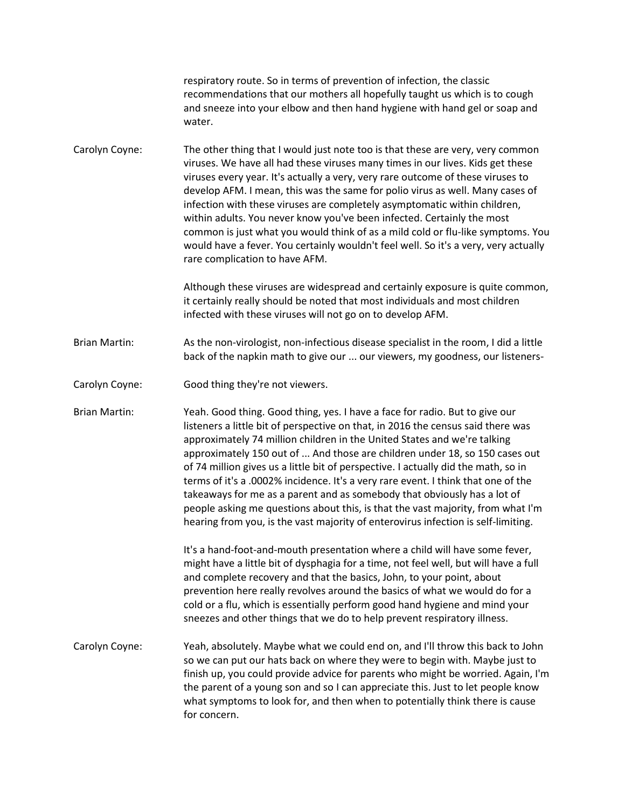|                      | respiratory route. So in terms of prevention of infection, the classic<br>recommendations that our mothers all hopefully taught us which is to cough<br>and sneeze into your elbow and then hand hygiene with hand gel or soap and<br>water.                                                                                                                                                                                                                                                                                                                                                                                                                                                                                                              |
|----------------------|-----------------------------------------------------------------------------------------------------------------------------------------------------------------------------------------------------------------------------------------------------------------------------------------------------------------------------------------------------------------------------------------------------------------------------------------------------------------------------------------------------------------------------------------------------------------------------------------------------------------------------------------------------------------------------------------------------------------------------------------------------------|
| Carolyn Coyne:       | The other thing that I would just note too is that these are very, very common<br>viruses. We have all had these viruses many times in our lives. Kids get these<br>viruses every year. It's actually a very, very rare outcome of these viruses to<br>develop AFM. I mean, this was the same for polio virus as well. Many cases of<br>infection with these viruses are completely asymptomatic within children,<br>within adults. You never know you've been infected. Certainly the most<br>common is just what you would think of as a mild cold or flu-like symptoms. You<br>would have a fever. You certainly wouldn't feel well. So it's a very, very actually<br>rare complication to have AFM.                                                   |
|                      | Although these viruses are widespread and certainly exposure is quite common,<br>it certainly really should be noted that most individuals and most children<br>infected with these viruses will not go on to develop AFM.                                                                                                                                                                                                                                                                                                                                                                                                                                                                                                                                |
| <b>Brian Martin:</b> | As the non-virologist, non-infectious disease specialist in the room, I did a little<br>back of the napkin math to give our  our viewers, my goodness, our listeners-                                                                                                                                                                                                                                                                                                                                                                                                                                                                                                                                                                                     |
| Carolyn Coyne:       | Good thing they're not viewers.                                                                                                                                                                                                                                                                                                                                                                                                                                                                                                                                                                                                                                                                                                                           |
| <b>Brian Martin:</b> | Yeah. Good thing. Good thing, yes. I have a face for radio. But to give our<br>listeners a little bit of perspective on that, in 2016 the census said there was<br>approximately 74 million children in the United States and we're talking<br>approximately 150 out of  And those are children under 18, so 150 cases out<br>of 74 million gives us a little bit of perspective. I actually did the math, so in<br>terms of it's a .0002% incidence. It's a very rare event. I think that one of the<br>takeaways for me as a parent and as somebody that obviously has a lot of<br>people asking me questions about this, is that the vast majority, from what I'm<br>hearing from you, is the vast majority of enterovirus infection is self-limiting. |
|                      | It's a hand-foot-and-mouth presentation where a child will have some fever,<br>might have a little bit of dysphagia for a time, not feel well, but will have a full<br>and complete recovery and that the basics, John, to your point, about<br>prevention here really revolves around the basics of what we would do for a<br>cold or a flu, which is essentially perform good hand hygiene and mind your<br>sneezes and other things that we do to help prevent respiratory illness.                                                                                                                                                                                                                                                                    |
| Carolyn Coyne:       | Yeah, absolutely. Maybe what we could end on, and I'll throw this back to John<br>so we can put our hats back on where they were to begin with. Maybe just to<br>finish up, you could provide advice for parents who might be worried. Again, I'm<br>the parent of a young son and so I can appreciate this. Just to let people know<br>what symptoms to look for, and then when to potentially think there is cause<br>for concern.                                                                                                                                                                                                                                                                                                                      |